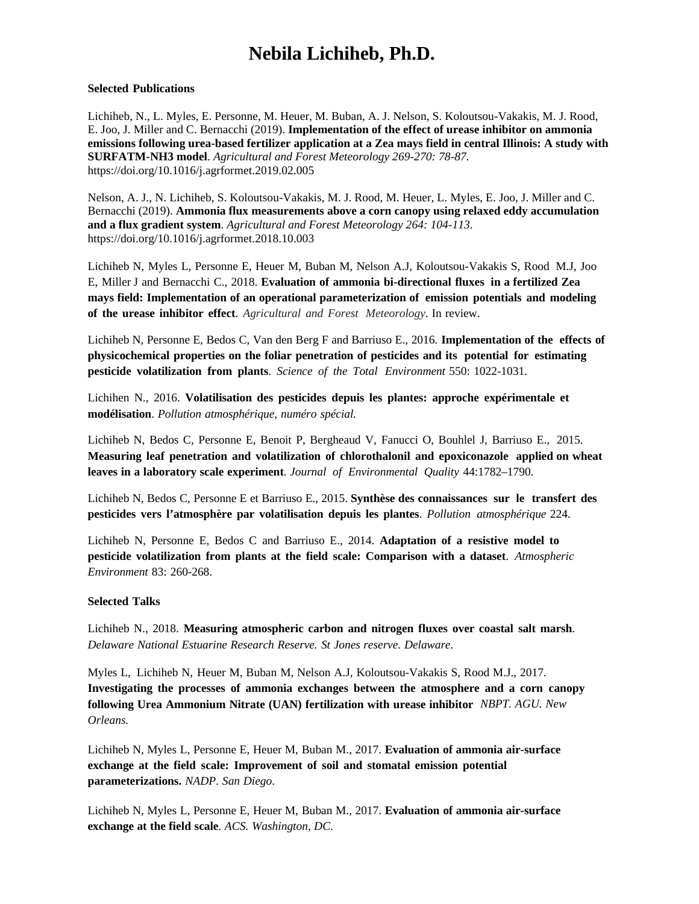## **Nebila Lichiheb, Ph.D.**

## **Selected Publications**

Lichiheb, N., L. Myles, E. Personne, M. Heuer, M. Buban, A. J. Nelson, S. Koloutsou-Vakakis, M. J. Rood, E. Joo, J. Miller and C. Bernacchi (2019). **Implementation of the effect of urease inhibitor on ammonia emissions following urea-based fertilizer application at a Zea mays field in central Illinois: A study with SURFATM-NH3 model**. *Agricultural and Forest Meteorology 269-270: 78-87*. https://doi.org/10.1016/j.agrformet.2019.02.005

Nelson, A. J., N. Lichiheb, S. Koloutsou-Vakakis, M. J. Rood, M. Heuer, L. Myles, E. Joo, J. Miller and C. Bernacchi (2019). **Ammonia flux measurements above a corn canopy using relaxed eddy accumulation and a flux gradient system**. *Agricultural and Forest Meteorology 264: 104-113*. https://doi.org/10.1016/j.agrformet.2018.10.003

Lichiheb N, Myles L, Personne E, Heuer M, Buban M, Nelson A.J, Koloutsou-Vakakis S, Rood M.J, Joo E, Miller J and Bernacchi C., 2018. **Evaluation of ammonia bi-directional fluxes in a fertilized Zea mays field: Implementation of an operational parameterization of emission potentials and modeling of the urease inhibitor effect**. *Agricultural and Forest Meteorology*. In review.

Lichiheb N, Personne E, Bedos C, Van den Berg F and Barriuso E., 2016. **Implementation of the effects of physicochemical properties on the foliar penetration of pesticides and its potential for estimating pesticide volatilization from plants**. *Science of the Total Environment* 550: 1022-1031.

Lichihen N., 2016. **Volatilisation des pesticides depuis les plantes: approche expérimentale et modélisation**. *Pollution atmosphérique, numéro spécial.*

Lichiheb N, Bedos C, Personne E, Benoit P, Bergheaud V, Fanucci O, Bouhlel J, Barriuso E., 2015. **Measuring leaf penetration and volatilization of chlorothalonil and epoxiconazole applied on wheat leaves in a laboratory scale experiment**. *Journal of Environmental Quality* 44:1782–1790.

Lichiheb N, Bedos C, Personne E et Barriuso E., 2015. **Synthèse des connaissances sur le transfert des pesticides vers l'atmosphère par volatilisation depuis les plantes**. *Pollution atmosphérique* 224.

Lichiheb N, Personne E, Bedos C and Barriuso E., 2014. **Adaptation of a resistive model to pesticide volatilization from plants at the field scale: Comparison with a dataset**. *Atmospheric Environment* 83: 260-268.

## **Selected Talks**

Lichiheb N., 2018. **Measuring atmospheric carbon and nitrogen fluxes over coastal salt marsh**. *Delaware National Estuarine Research Reserve. St Jones reserve. Delaware*.

Myles L, Lichiheb N, Heuer M, Buban M, Nelson A.J, Koloutsou-Vakakis S, Rood M.J., 2017. **Investigating the processes of ammonia exchanges between the atmosphere and a corn canopy following Urea Ammonium Nitrate (UAN) fertilization with urease inhibitor** *NBPT. AGU. New Orleans.*

Lichiheb N, Myles L, Personne E, Heuer M, Buban M., 2017. **Evaluation of ammonia air-surface exchange at the field scale: Improvement of soil and stomatal emission potential parameterizations.** *NADP*. *San Diego*.

Lichiheb N, Myles L, Personne E, Heuer M, Buban M., 2017. **Evaluation of ammonia air-surface exchange at the field scale**. *ACS. Washington, DC.*